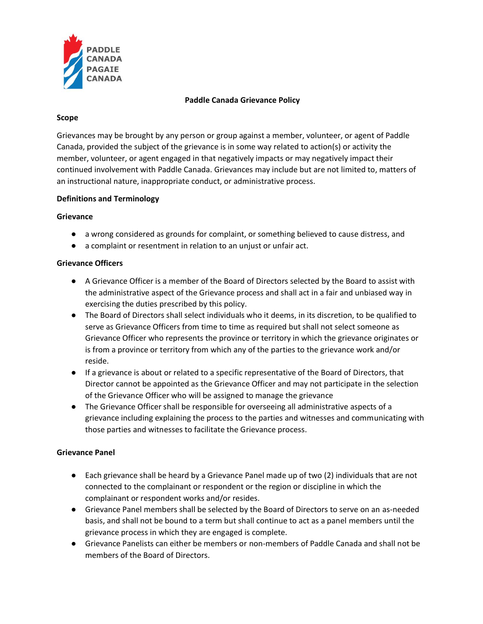

### **Paddle Canada Grievance Policy**

### **Scope**

Grievances may be brought by any person or group against a member, volunteer, or agent of Paddle Canada, provided the subject of the grievance is in some way related to action(s) or activity the member, volunteer, or agent engaged in that negatively impacts or may negatively impact their continued involvement with Paddle Canada. Grievances may include but are not limited to, matters of an instructional nature, inappropriate conduct, or administrative process.

## **Definitions and Terminology**

### **Grievance**

- a wrong considered as grounds for complaint, or something believed to cause distress, and
- a complaint or resentment in relation to an unjust or unfair act.

## **Grievance Officers**

- A Grievance Officer is a member of the Board of Directors selected by the Board to assist with the administrative aspect of the Grievance process and shall act in a fair and unbiased way in exercising the duties prescribed by this policy.
- The Board of Directors shall select individuals who it deems, in its discretion, to be qualified to serve as Grievance Officers from time to time as required but shall not select someone as Grievance Officer who represents the province or territory in which the grievance originates or is from a province or territory from which any of the parties to the grievance work and/or reside.
- If a grievance is about or related to a specific representative of the Board of Directors, that Director cannot be appointed as the Grievance Officer and may not participate in the selection of the Grievance Officer who will be assigned to manage the grievance
- The Grievance Officer shall be responsible for overseeing all administrative aspects of a grievance including explaining the process to the parties and witnesses and communicating with those parties and witnesses to facilitate the Grievance process.

# **Grievance Panel**

- Each grievance shall be heard by a Grievance Panel made up of two (2) individuals that are not connected to the complainant or respondent or the region or discipline in which the complainant or respondent works and/or resides.
- Grievance Panel members shall be selected by the Board of Directors to serve on an as-needed basis, and shall not be bound to a term but shall continue to act as a panel members until the grievance process in which they are engaged is complete.
- Grievance Panelists can either be members or non-members of Paddle Canada and shall not be members of the Board of Directors.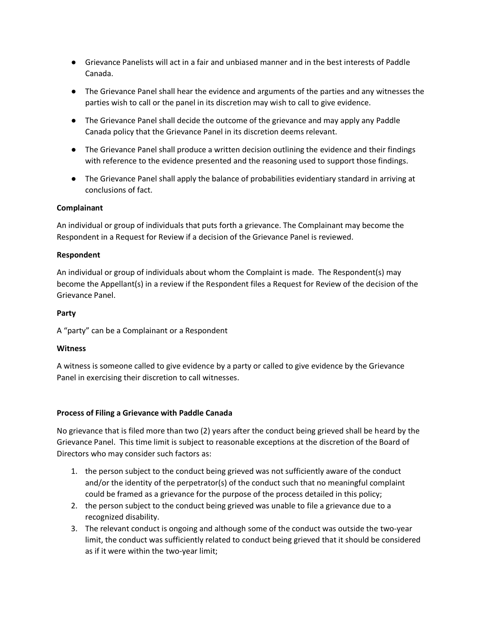- Grievance Panelists will act in a fair and unbiased manner and in the best interests of Paddle Canada.
- The Grievance Panel shall hear the evidence and arguments of the parties and any witnesses the parties wish to call or the panel in its discretion may wish to call to give evidence.
- The Grievance Panel shall decide the outcome of the grievance and may apply any Paddle Canada policy that the Grievance Panel in its discretion deems relevant.
- The Grievance Panel shall produce a written decision outlining the evidence and their findings with reference to the evidence presented and the reasoning used to support those findings.
- The Grievance Panel shall apply the balance of probabilities evidentiary standard in arriving at conclusions of fact.

## **Complainant**

An individual or group of individuals that puts forth a grievance. The Complainant may become the Respondent in a Request for Review if a decision of the Grievance Panel is reviewed.

## **Respondent**

An individual or group of individuals about whom the Complaint is made. The Respondent(s) may become the Appellant(s) in a review if the Respondent files a Request for Review of the decision of the Grievance Panel.

## **Party**

A "party" can be a Complainant or a Respondent

### **Witness**

A witness is someone called to give evidence by a party or called to give evidence by the Grievance Panel in exercising their discretion to call witnesses.

### **Process of Filing a Grievance with Paddle Canada**

No grievance that is filed more than two (2) years after the conduct being grieved shall be heard by the Grievance Panel. This time limit is subject to reasonable exceptions at the discretion of the Board of Directors who may consider such factors as:

- 1. the person subject to the conduct being grieved was not sufficiently aware of the conduct and/or the identity of the perpetrator(s) of the conduct such that no meaningful complaint could be framed as a grievance for the purpose of the process detailed in this policy;
- 2. the person subject to the conduct being grieved was unable to file a grievance due to a recognized disability.
- 3. The relevant conduct is ongoing and although some of the conduct was outside the two-year limit, the conduct was sufficiently related to conduct being grieved that it should be considered as if it were within the two-year limit;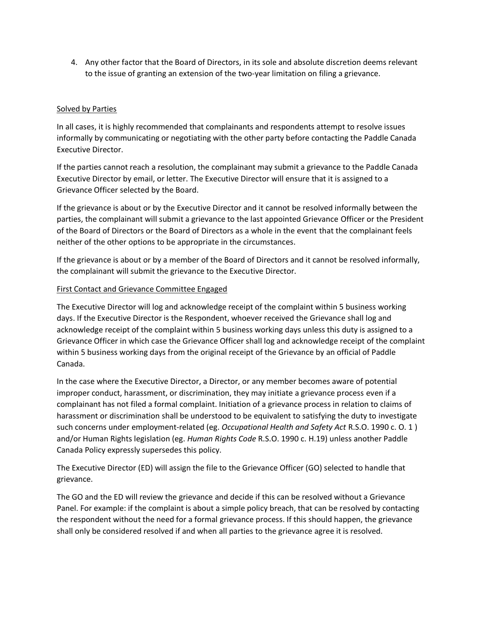4. Any other factor that the Board of Directors, in its sole and absolute discretion deems relevant to the issue of granting an extension of the two-year limitation on filing a grievance.

## Solved by Parties

In all cases, it is highly recommended that complainants and respondents attempt to resolve issues informally by communicating or negotiating with the other party before contacting the Paddle Canada Executive Director.

If the parties cannot reach a resolution, the complainant may submit a grievance to the Paddle Canada Executive Director by email, or letter. The Executive Director will ensure that it is assigned to a Grievance Officer selected by the Board.

If the grievance is about or by the Executive Director and it cannot be resolved informally between the parties, the complainant will submit a grievance to the last appointed Grievance Officer or the President of the Board of Directors or the Board of Directors as a whole in the event that the complainant feels neither of the other options to be appropriate in the circumstances.

If the grievance is about or by a member of the Board of Directors and it cannot be resolved informally, the complainant will submit the grievance to the Executive Director.

### First Contact and Grievance Committee Engaged

The Executive Director will log and acknowledge receipt of the complaint within 5 business working days. If the Executive Director is the Respondent, whoever received the Grievance shall log and acknowledge receipt of the complaint within 5 business working days unless this duty is assigned to a Grievance Officer in which case the Grievance Officer shall log and acknowledge receipt of the complaint within 5 business working days from the original receipt of the Grievance by an official of Paddle Canada.

In the case where the Executive Director, a Director, or any member becomes aware of potential improper conduct, harassment, or discrimination, they may initiate a grievance process even if a complainant has not filed a formal complaint. Initiation of a grievance process in relation to claims of harassment or discrimination shall be understood to be equivalent to satisfying the duty to investigate such concerns under employment-related (eg. *Occupational Health and Safety Act* R.S.O. 1990 c. O. 1 ) and/or Human Rights legislation (eg. *Human Rights Code* R.S.O. 1990 c. H.19) unless another Paddle Canada Policy expressly supersedes this policy.

The Executive Director (ED) will assign the file to the Grievance Officer (GO) selected to handle that grievance.

The GO and the ED will review the grievance and decide if this can be resolved without a Grievance Panel. For example: if the complaint is about a simple policy breach, that can be resolved by contacting the respondent without the need for a formal grievance process. If this should happen, the grievance shall only be considered resolved if and when all parties to the grievance agree it is resolved.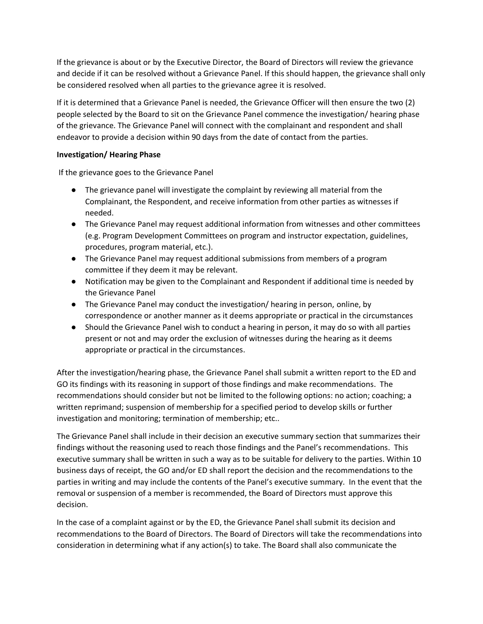If the grievance is about or by the Executive Director, the Board of Directors will review the grievance and decide if it can be resolved without a Grievance Panel. If this should happen, the grievance shall only be considered resolved when all parties to the grievance agree it is resolved.

If it is determined that a Grievance Panel is needed, the Grievance Officer will then ensure the two (2) people selected by the Board to sit on the Grievance Panel commence the investigation/ hearing phase of the grievance. The Grievance Panel will connect with the complainant and respondent and shall endeavor to provide a decision within 90 days from the date of contact from the parties.

## **Investigation/ Hearing Phase**

If the grievance goes to the Grievance Panel

- The grievance panel will investigate the complaint by reviewing all material from the Complainant, the Respondent, and receive information from other parties as witnesses if needed.
- The Grievance Panel may request additional information from witnesses and other committees (e.g. Program Development Committees on program and instructor expectation, guidelines, procedures, program material, etc.).
- The Grievance Panel may request additional submissions from members of a program committee if they deem it may be relevant.
- Notification may be given to the Complainant and Respondent if additional time is needed by the Grievance Panel
- The Grievance Panel may conduct the investigation/ hearing in person, online, by correspondence or another manner as it deems appropriate or practical in the circumstances
- Should the Grievance Panel wish to conduct a hearing in person, it may do so with all parties present or not and may order the exclusion of witnesses during the hearing as it deems appropriate or practical in the circumstances.

After the investigation/hearing phase, the Grievance Panel shall submit a written report to the ED and GO its findings with its reasoning in support of those findings and make recommendations. The recommendations should consider but not be limited to the following options: no action; coaching; a written reprimand; suspension of membership for a specified period to develop skills or further investigation and monitoring; termination of membership; etc..

The Grievance Panel shall include in their decision an executive summary section that summarizes their findings without the reasoning used to reach those findings and the Panel's recommendations. This executive summary shall be written in such a way as to be suitable for delivery to the parties. Within 10 business days of receipt, the GO and/or ED shall report the decision and the recommendations to the parties in writing and may include the contents of the Panel's executive summary. In the event that the removal or suspension of a member is recommended, the Board of Directors must approve this decision.

In the case of a complaint against or by the ED, the Grievance Panel shall submit its decision and recommendations to the Board of Directors. The Board of Directors will take the recommendations into consideration in determining what if any action(s) to take. The Board shall also communicate the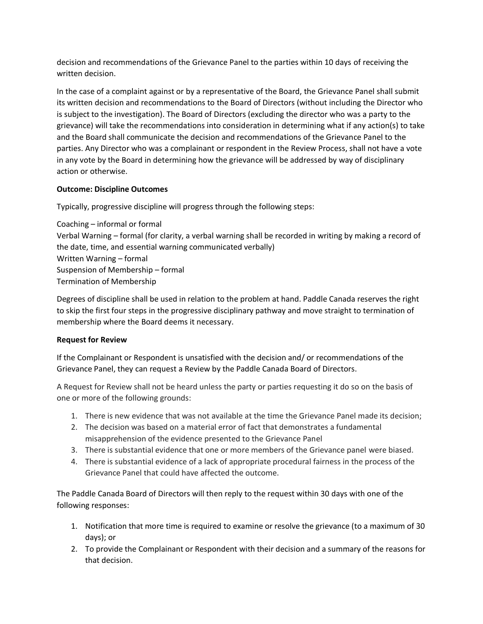decision and recommendations of the Grievance Panel to the parties within 10 days of receiving the written decision.

In the case of a complaint against or by a representative of the Board, the Grievance Panel shall submit its written decision and recommendations to the Board of Directors (without including the Director who is subject to the investigation). The Board of Directors (excluding the director who was a party to the grievance) will take the recommendations into consideration in determining what if any action(s) to take and the Board shall communicate the decision and recommendations of the Grievance Panel to the parties. Any Director who was a complainant or respondent in the Review Process, shall not have a vote in any vote by the Board in determining how the grievance will be addressed by way of disciplinary action or otherwise.

# **Outcome: Discipline Outcomes**

Typically, progressive discipline will progress through the following steps:

Coaching – informal or formal Verbal Warning – formal (for clarity, a verbal warning shall be recorded in writing by making a record of the date, time, and essential warning communicated verbally) Written Warning – formal Suspension of Membership – formal Termination of Membership

Degrees of discipline shall be used in relation to the problem at hand. Paddle Canada reserves the right to skip the first four steps in the progressive disciplinary pathway and move straight to termination of membership where the Board deems it necessary.

# **Request for Review**

If the Complainant or Respondent is unsatisfied with the decision and/ or recommendations of the Grievance Panel, they can request a Review by the Paddle Canada Board of Directors.

A Request for Review shall not be heard unless the party or parties requesting it do so on the basis of one or more of the following grounds:

- 1. There is new evidence that was not available at the time the Grievance Panel made its decision;
- 2. The decision was based on a material error of fact that demonstrates a fundamental misapprehension of the evidence presented to the Grievance Panel
- 3. There is substantial evidence that one or more members of the Grievance panel were biased.
- 4. There is substantial evidence of a lack of appropriate procedural fairness in the process of the Grievance Panel that could have affected the outcome.

The Paddle Canada Board of Directors will then reply to the request within 30 days with one of the following responses:

- 1. Notification that more time is required to examine or resolve the grievance (to a maximum of 30 days); or
- 2. To provide the Complainant or Respondent with their decision and a summary of the reasons for that decision.